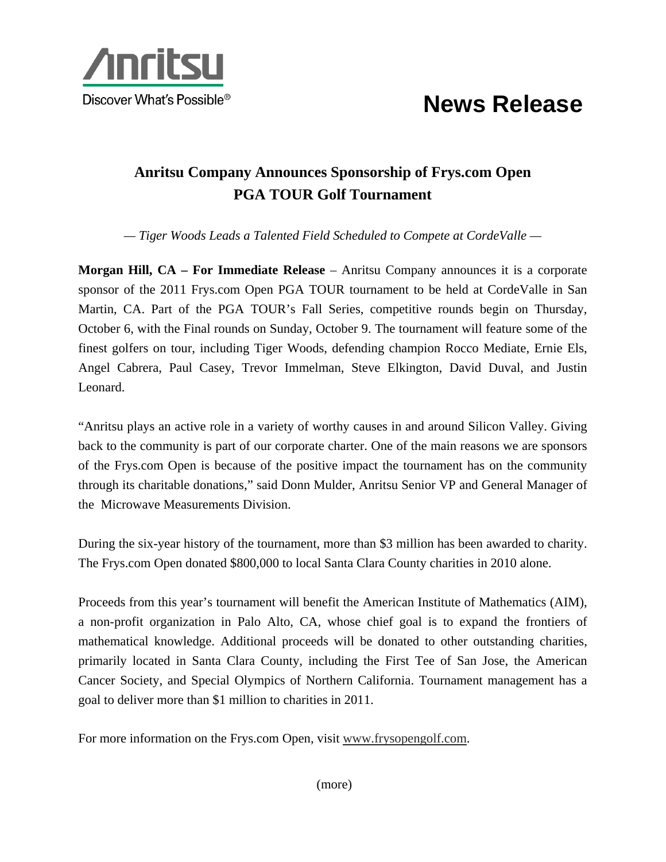

## **News Release**

## **Anritsu Company Announces Sponsorship of Frys.com Open PGA TOUR Golf Tournament**

*— Tiger Woods Leads a Talented Field Scheduled to Compete at CordeValle —* 

**Morgan Hill, CA – For Immediate Release** – Anritsu Company announces it is a corporate sponsor of the 2011 Frys.com Open PGA TOUR tournament to be held at CordeValle in San Martin, CA. Part of the PGA TOUR's Fall Series, competitive rounds begin on Thursday, October 6, with the Final rounds on Sunday, October 9. The tournament will feature some of the finest golfers on tour, including Tiger Woods, defending champion Rocco Mediate, Ernie Els, Angel Cabrera, Paul Casey, Trevor Immelman, Steve Elkington, David Duval, and Justin Leonard.

"Anritsu plays an active role in a variety of worthy causes in and around Silicon Valley. Giving back to the community is part of our corporate charter. One of the main reasons we are sponsors of the Frys.com Open is because of the positive impact the tournament has on the community through its charitable donations," said Donn Mulder, Anritsu Senior VP and General Manager of the Microwave Measurements Division.

During the six-year history of the tournament, more than \$3 million has been awarded to charity. The Frys.com Open donated \$800,000 to local Santa Clara County charities in 2010 alone.

Proceeds from this year's tournament will benefit the American Institute of Mathematics (AIM), a non-profit organization in Palo Alto, CA, whose chief goal is to expand the frontiers of mathematical knowledge. Additional proceeds will be donated to other outstanding charities, primarily located in Santa Clara County, including the First Tee of San Jose, the American Cancer Society, and Special Olympics of Northern California. Tournament management has a goal to deliver more than \$1 million to charities in 2011.

For more information on the Frys.com Open, visit www.frysopengolf.com.